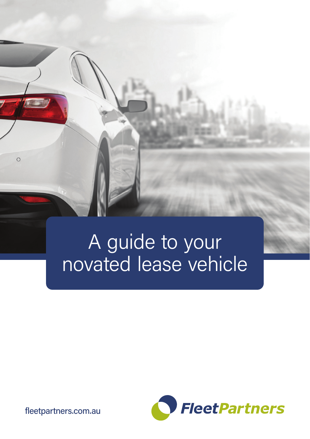

# A guide to your novated lease vehicle



fleetpartners.com.au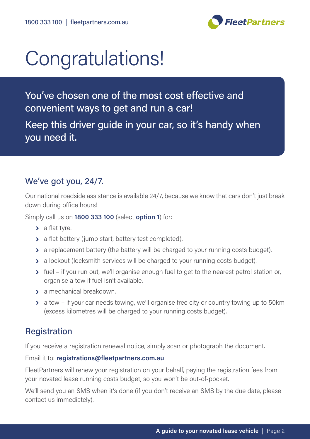

# Congratulations!

You've chosen one of the most cost effective and convenient ways to get and run a car! Keep this driver guide in your car, so it's handy when you need it.

# We've got you, 24/7.

Our national roadside assistance is available 24/7, because we know that cars don't just break down during office hours!

Simply call us on **1800 333 100** (select **option 1**) for:

- **›** a flat tyre.
- **›** a flat battery (jump start, battery test completed).
- **›** a replacement battery (the battery will be charged to your running costs budget).
- $\rightarrow$  a lockout (locksmith services will be charged to your running costs budget).
- **›** fuel if you run out, we'll organise enough fuel to get to the nearest petrol station or, organise a tow if fuel isn't available.
- **›** a mechanical breakdown.
- **›** a tow if your car needs towing, we'll organise free city or country towing up to 50km (excess kilometres will be charged to your running costs budget).

# **Registration**

If you receive a registration renewal notice, simply scan or photograph the document.

Email it to: **registrations@fleetpartners.com.au**

FleetPartners will renew your registration on your behalf, paying the registration fees from your novated lease running costs budget, so you won't be out-of-pocket.

We'll send you an SMS when it's done (if you don't receive an SMS by the due date, please contact us immediately).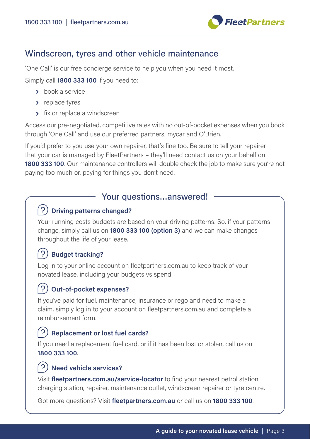

### Windscreen, tyres and other vehicle maintenance

'One Call' is our free concierge service to help you when you need it most.

Simply call **1800 333 100** if you need to:

- **›** book a service
- **›** replace tyres
- **›** fix or replace a windscreen

Access our pre-negotiated, competitive rates with no out-of-pocket expenses when you book through 'One Call' and use our preferred partners, mycar and O'Brien.

If you'd prefer to you use your own repairer, that's fine too. Be sure to tell your repairer that your car is managed by FleetPartners – they'll need contact us on your behalf on **1800 333 100**. Our maintenance controllers will double check the job to make sure you're not paying too much or, paying for things you don't need.

#### Your questions…answered!

#### **Driving patterns changed?**

Your running costs budgets are based on your driving patterns. So, if your patterns change, simply call us on **1800 333 100 (option 3)** and we can make changes throughout the life of your lease.

### **Budget tracking?**

Log in to your online account on fleetpartners.com.au to keep track of your novated lease, including your budgets vs spend.

# **Out-of-pocket expenses?**

If you've paid for fuel, maintenance, insurance or rego and need to make a claim, simply log in to your account on fleetpartners.com.au and complete a reimbursement form.

### **Replacement or lost fuel cards?**

If you need a replacement fuel card, or if it has been lost or stolen, call us on **1800 333 100**.

#### (? **Need vehicle services?**

Visit **fleetpartners.com.au/service-locator** to find your nearest petrol station, charging station, repairer, maintenance outlet, windscreen repairer or tyre centre.

Got more questions? Visit **fleetpartners.com.au** or call us on **1800 333 100**.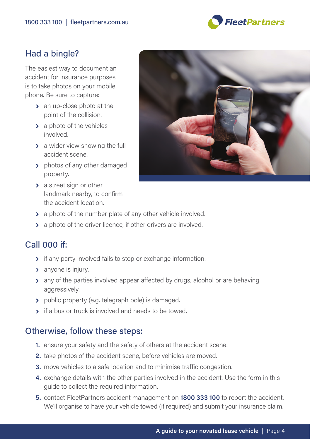

## Had a bingle?

The easiest way to document an accident for insurance purposes is to take photos on your mobile phone. Be sure to capture:

- **›** an up-close photo at the point of the collision.
- **›** a photo of the vehicles involved.
- **›** a wider view showing the full accident scene.
- **›** photos of any other damaged property.
- **›** a street sign or other landmark nearby, to confirm the accident location.



- **›** a photo of the number plate of any other vehicle involved.
- **›** a photo of the driver licence, if other drivers are involved.

# Call 000 if:

- **›** if any party involved fails to stop or exchange information.
- **›** anyone is injury.
- **›** any of the parties involved appear affected by drugs, alcohol or are behaving aggressively.
- **›** public property (e.g. telegraph pole) is damaged.
- **›** if a bus or truck is involved and needs to be towed.

### Otherwise, follow these steps:

- **1.** ensure your safety and the safety of others at the accident scene.
- **2.** take photos of the accident scene, before vehicles are moved.
- **3.** move vehicles to a safe location and to minimise traffic congestion.
- **4.** exchange details with the other parties involved in the accident. Use the form in this guide to collect the required information.
- **5.** contact FleetPartners accident management on **1800 333 100** to report the accident. We'll organise to have your vehicle towed (if required) and submit your insurance claim.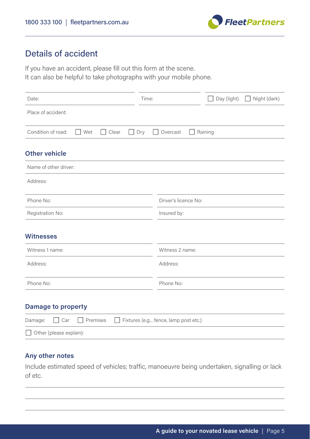

# Details of accident

If you have an accident, please fill out this form at the scene. It can also be helpful to take photographs with your mobile phone.

| Date:                                     | Time:                                | Day (light) | Night (dark)<br>-1 |
|-------------------------------------------|--------------------------------------|-------------|--------------------|
| Place of accident:                        |                                      |             |                    |
| Condition of road:<br>Clear<br>Wet<br>- 1 | Dry<br>Overcast                      | Raining     |                    |
| <b>Other vehicle</b>                      |                                      |             |                    |
| Name of other driver:                     |                                      |             |                    |
| Address:                                  |                                      |             |                    |
| Phone No:                                 | Driver's licence No:                 |             |                    |
| Registration No:                          | Insured by:                          |             |                    |
| <b>Witnesses</b>                          |                                      |             |                    |
| Witness 1 name:                           | Witness 2 name:                      |             |                    |
| Address:                                  | Address:                             |             |                    |
| Phone No:                                 | Phone No:                            |             |                    |
| <b>Damage to property</b>                 |                                      |             |                    |
| Premises<br>Car<br>Damage:                | Fixtures (e.g fence, lamp post etc.) |             |                    |

#### ☐ Other (please explain):

#### **Any other notes**

Include estimated speed of vehicles; traffic, manoeuvre being undertaken, signalling or lack of etc.